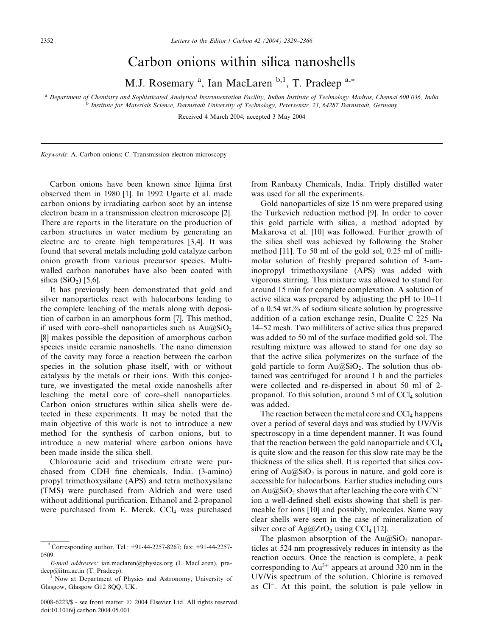## Carbon onions within silica nanoshells

M.J. Rosemary<sup>a</sup>, Ian MacLaren<sup>b,1</sup>, T. Pradeep<sup>a,\*</sup>

<sup>a</sup> Department of Chemistry and Sophisticated Analytical Instrumentation Facility, Indian Institute of Technology Madras, Chennai 600 036, India <sup>b</sup> Institute for Materials Science, Darmstadt University of Technology, Petersenstr. 23, 64287 Darmstadt, Germany

Received 4 March 2004; accepted 3 May 2004

Keywords: A. Carbon onions; C. Transmission electron microscopy

Carbon onions have been known since Iijima first observed them in 1980 [1]. In 1992 Ugarte et al. made carbon onions by irradiating carbon soot by an intense electron beam in a transmission electron microscope [2]. There are reports in the literature on the production of carbon structures in water medium by generating an electric arc to create high temperatures [3,4]. It was found that several metals including gold catalyze carbon onion growth from various precursor species. Multiwalled carbon nanotubes have also been coated with silica  $(SiO<sub>2</sub>)$  [5,6].

It has previously been demonstrated that gold and silver nanoparticles react with halocarbons leading to the complete leaching of the metals along with deposition of carbon in an amorphous form [7]. This method, if used with core–shell nanoparticles such as  $Au@SiO<sub>2</sub>$ [8] makes possible the deposition of amorphous carbon species inside ceramic nanoshells. The nano dimension of the cavity may force a reaction between the carbon species in the solution phase itself, with or without catalysis by the metals or their ions. With this conjecture, we investigated the metal oxide nanoshells after leaching the metal core of core–shell nanoparticles. Carbon onion structures within silica shells were detected in these experiments. It may be noted that the main objective of this work is not to introduce a new method for the synthesis of carbon onions, but to introduce a new material where carbon onions have been made inside the silica shell.

Chloroauric acid and trisodium citrate were purchased from CDH fine chemicals, India. (3-amino) propyl trimethoxysilane (APS) and tetra methoxysilane (TMS) were purchased from Aldrich and were used without additional purification. Ethanol and 2-propanol were purchased from E. Merck. CCl<sub>4</sub> was purchased from Ranbaxy Chemicals, India. Triply distilled water was used for all the experiments.

Gold nanoparticles of size 15 nm were prepared using the Turkevich reduction method [9]. In order to cover this gold particle with silica, a method adopted by Makarova et al. [10] was followed. Further growth of the silica shell was achieved by following the Stober method [11]. To 50 ml of the gold sol, 0.25 ml of millimolar solution of freshly prepared solution of 3-aminopropyl trimethoxysilane (APS) was added with vigorous stirring. This mixture was allowed to stand for around 15 min for complete complexation. A solution of active silica was prepared by adjusting the pH to 10–11 of a 0.54 wt.% of sodium silicate solution by progressive addition of a cation exchange resin, Dualite C 225–Na 14–52 mesh. Two milliliters of active silica thus prepared was added to 50 ml of the surface modified gold sol. The resulting mixture was allowed to stand for one day so that the active silica polymerizes on the surface of the gold particle to form  $Au@SiO<sub>2</sub>$ . The solution thus obtained was centrifuged for around 1 h and the particles were collected and re-dispersed in about 50 ml of 2 propanol. To this solution, around  $5 \text{ ml of } CCl_4$  solution was added.

The reaction between the metal core and  $CCl_4$  happens over a period of several days and was studied by UV/Vis spectroscopy in a time dependent manner. It was found that the reaction between the gold nanoparticle and  $\text{CC}l_4$ is quite slow and the reason for this slow rate may be the thickness of the silica shell. It is reported that silica covering of  $Au@SiO<sub>2</sub>$  is porous in nature, and gold core is accessible for halocarbons. Earlier studies including ours on  $Au@SiO_2$  shows that after leaching the core with  $CN^$ ion a well-defined shell exists showing that shell is permeable for ions [10] and possibly, molecules. Same way clear shells were seen in the case of mineralization of silver core of  $Ag@ZrO_2$  using CCl<sub>4</sub> [12].

The plasmon absorption of the  $Au@SiO<sub>2</sub>$  nanoparticles at 524 nm progressively reduces in intensity as the reaction occurs. Once the reaction is complete, a peak corresponding to  $Au^{3+}$  appears at around 320 nm in the UV/Vis spectrum of the solution. Chlorine is removed as  $Cl^-$ . At this point, the solution is pale yellow in

Corresponding author. Tel.: +91-44-2257-8267; fax: +91-44-2257-0509.

E-mail addresses: ian.maclaren@physics.org (I. MacLaren), pradeep@iitm.ac.in (T. Pradeep).  $1$  Now at Department of Physics and Astronomy, University of

Glasgow, Glasgow G12 8QQ, UK.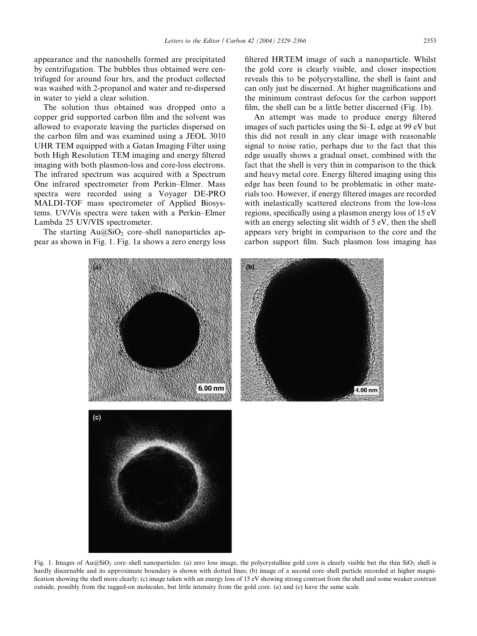appearance and the nanoshells formed are precipitated by centrifugation. The bubbles thus obtained were centrifuged for around four hrs, and the product collected was washed with 2-propanol and water and re-dispersed in water to yield a clear solution.

The solution thus obtained was dropped onto a copper grid supported carbon film and the solvent was allowed to evaporate leaving the particles dispersed on the carbon film and was examined using a JEOL 3010 UHR TEM equipped with a Gatan Imaging Filter using both High Resolution TEM imaging and energy filtered imaging with both plasmon-loss and core-loss electrons. The infrared spectrum was acquired with a Spectrum One infrared spectrometer from Perkin–Elmer. Mass spectra were recorded using a Voyager DE-PRO MALDI-TOF mass spectrometer of Applied Biosystems. UV/Vis spectra were taken with a Perkin–Elmer Lambda 25 UV/VIS spectrometer.

The starting  $Au@SiO<sub>2</sub>$  core–shell nanoparticles appear as shown in Fig. 1. Fig. 1a shows a zero energy loss filtered HRTEM image of such a nanoparticle. Whilst the gold core is clearly visible, and closer inspection reveals this to be polycrystalline, the shell is faint and can only just be discerned. At higher magnifications and the minimum contrast defocus for the carbon support film, the shell can be a little better discerned (Fig. 1b).

An attempt was made to produce energy filtered images of such particles using the Si–L edge at 99 eV but this did not result in any clear image with reasonable signal to noise ratio, perhaps due to the fact that this edge usually shows a gradual onset, combined with the fact that the shell is very thin in comparison to the thick and heavy metal core. Energy filtered imaging using this edge has been found to be problematic in other materials too. However, if energy filtered images are recorded with inelastically scattered electrons from the low-loss regions, specifically using a plasmon energy loss of 15 eV with an energy selecting slit width of 5 eV, then the shell appears very bright in comparison to the core and the carbon support film. Such plasmon loss imaging has



Fig. 1. Images of Au@SiO<sub>2</sub> core–shell nanoparticles: (a) zero loss image, the polycrystalline gold core is clearly visible but the thin SiO<sub>2</sub> shell is hardly discernable and its approximate boundary is shown with dotted lines; (b) image of a second core–shell particle recorded at higher magnification showing the shell more clearly; (c) image taken with an energy loss of 15 eV showing strong contrast from the shell and some weaker contrast outside, possibly from the tagged-on molecules, but little intensity from the gold core. (a) and (c) have the same scale.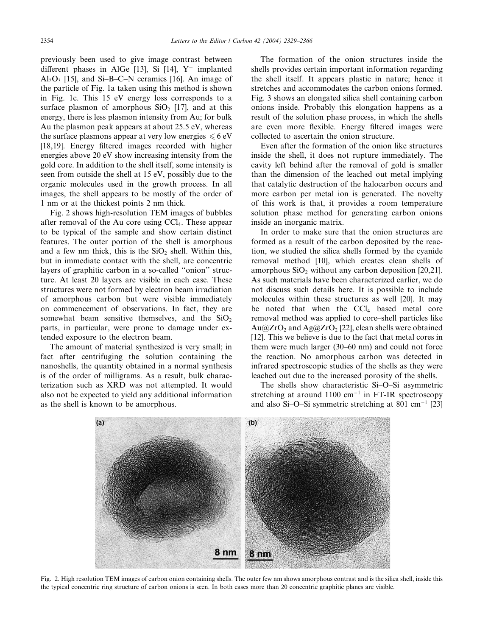previously been used to give image contrast between different phases in AlGe [13], Si [14],  $Y^+$  implanted  $Al_2O_3$  [15], and Si–B–C–N ceramics [16]. An image of the particle of Fig. 1a taken using this method is shown in Fig. 1c. This 15 eV energy loss corresponds to a surface plasmon of amorphous  $SiO<sub>2</sub>$  [17], and at this energy, there is less plasmon intensity from Au; for bulk Au the plasmon peak appears at about 25.5 eV, whereas the surface plasmons appear at very low energies  $\leq 6$  eV [18,19]. Energy filtered images recorded with higher energies above 20 eV show increasing intensity from the gold core. In addition to the shell itself, some intensity is seen from outside the shell at 15 eV, possibly due to the organic molecules used in the growth process. In all images, the shell appears to be mostly of the order of 1 nm or at the thickest points 2 nm thick.

Fig. 2 shows high-resolution TEM images of bubbles after removal of the Au core using  $CCl<sub>4</sub>$ . These appear to be typical of the sample and show certain distinct features. The outer portion of the shell is amorphous and a few nm thick, this is the  $SiO<sub>2</sub>$  shell. Within this, but in immediate contact with the shell, are concentric layers of graphitic carbon in a so-called ''onion'' structure. At least 20 layers are visible in each case. These structures were not formed by electron beam irradiation of amorphous carbon but were visible immediately on commencement of observations. In fact, they are somewhat beam sensitive themselves, and the  $SiO<sub>2</sub>$ parts, in particular, were prone to damage under extended exposure to the electron beam.

The amount of material synthesized is very small; in fact after centrifuging the solution containing the nanoshells, the quantity obtained in a normal synthesis is of the order of milligrams. As a result, bulk characterization such as XRD was not attempted. It would also not be expected to yield any additional information as the shell is known to be amorphous.

The formation of the onion structures inside the shells provides certain important information regarding the shell itself. It appears plastic in nature; hence it stretches and accommodates the carbon onions formed. Fig. 3 shows an elongated silica shell containing carbon onions inside. Probably this elongation happens as a result of the solution phase process, in which the shells are even more flexible. Energy filtered images were collected to ascertain the onion structure.

Even after the formation of the onion like structures inside the shell, it does not rupture immediately. The cavity left behind after the removal of gold is smaller than the dimension of the leached out metal implying that catalytic destruction of the halocarbon occurs and more carbon per metal ion is generated. The novelty of this work is that, it provides a room temperature solution phase method for generating carbon onions inside an inorganic matrix.

In order to make sure that the onion structures are formed as a result of the carbon deposited by the reaction, we studied the silica shells formed by the cyanide removal method [10], which creates clean shells of amorphous  $SiO<sub>2</sub>$  without any carbon deposition [20,21]. As such materials have been characterized earlier, we do not discuss such details here. It is possible to include molecules within these structures as well [20]. It may be noted that when the  $CCl<sub>4</sub>$  based metal core removal method was applied to core–shell particles like Au@ZrO<sub>2</sub> and Ag@ZrO<sub>2</sub> [22], clean shells were obtained [12]. This we believe is due to the fact that metal cores in them were much larger (30–60 nm) and could not force the reaction. No amorphous carbon was detected in infrared spectroscopic studies of the shells as they were leached out due to the increased porosity of the shells.

The shells show characteristic Si–O–Si asymmetric stretching at around 1100  $cm^{-1}$  in FT-IR spectroscopy and also Si–O–Si symmetric stretching at 801 cm<sup>-1</sup> [23]



Fig. 2. High resolution TEM images of carbon onion containing shells. The outer few nm shows amorphous contrast and is the silica shell, inside this the typical concentric ring structure of carbon onions is seen. In both cases more than 20 concentric graphitic planes are visible.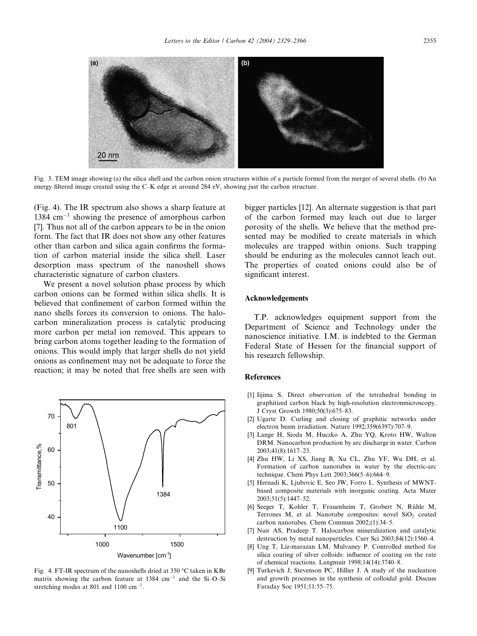

Fig. 3. TEM image showing (a) the silica shell and the carbon onion structures within of a particle formed from the merger of several shells. (b) An energy filtered image created using the C–K edge at around 284 eV, showing just the carbon structure.

(Fig. 4). The IR spectrum also shows a sharp feature at 1384  $cm^{-1}$  showing the presence of amorphous carbon [7]. Thus not all of the carbon appears to be in the onion form. The fact that IR does not show any other features other than carbon and silica again confirms the formation of carbon material inside the silica shell. Laser desorption mass spectrum of the nanoshell shows characteristic signature of carbon clusters.

We present a novel solution phase process by which carbon onions can be formed within silica shells. It is believed that confinement of carbon formed within the nano shells forces its conversion to onions. The halocarbon mineralization process is catalytic producing more carbon per metal ion removed. This appears to bring carbon atoms together leading to the formation of onions. This would imply that larger shells do not yield onions as confinement may not be adequate to force the reaction; it may be noted that free shells are seen with



Fig. 4. FT-IR spectrum of the nanoshells dried at 350  $^{\circ}$ C taken in KBr matrix showing the carbon feature at  $1384 \text{ cm}^{-1}$  and the Si-O–Si stretching modes at 801 and 1100  $cm^{-1}$ .

bigger particles [12]. An alternate suggestion is that part of the carbon formed may leach out due to larger porosity of the shells. We believe that the method presented may be modified to create materials in which molecules are trapped within onions. Such trapping should be enduring as the molecules cannot leach out. The properties of coated onions could also be of significant interest.

## Acknowledgements

T.P. acknowledges equipment support from the Department of Science and Technology under the nanoscience initiative. I.M. is indebted to the German Federal State of Hessen for the financial support of his research fellowship.

## References

- [1] Iiijma S. Direct observation of the tetrahedral bonding in graphitized carbon black by high-resolution electronmicroscopy. J Cryst Growth 1980;50(3):675–83.
- [2] Ugarte D. Curling and closing of graphitic networks under electron beam irradiation. Nature 1992;359(6397):707–9.
- [3] Lange H, Sioda M, Huczko A, Zhu YQ, Kroto HW, Walton DRM. Nanocarbon production by arc discharge in water. Carbon 2003;41(8):1617–23.
- [4] Zhu HW, Li XS, Jiang B, Xu CL, Zhu YF, Wu DH, et al. Formation of carbon nanotubes in water by the electric-arc technique. Chem Phys Lett 2003;366(5–6):664–9.
- [5] Hernadi K, Ljubovic E, Seo JW, Forro L. Synthesis of MWNTbased composite materials with inorganic coating. Acta Mater 2003;51(5):1447–52.
- [6] Seeger T, Kohler T, Frauenheim T, Grobert N, Rühle M, Terrones M, et al. Nanotube composites: novel  $SiO<sub>2</sub>$  coated carbon nanotubes. Chem Commun 2002;(1):34–5.
- [7] Nair AS, Pradeep T. Halocarbon mineralization and catalytic destruction by metal nanoparticles. Curr Sci 2003;84(12):1560–4.
- [8] Ung T, Liz-marazan LM, Mulvaney P. Controlled method for silica coating of silver colloids: influence of coating on the rate of chemical reactions. Langmuir 1998;14(14):3740–8.
- [9] Turkevich J, Stevenson PC, Hillier J. A study of the nucleation and growth processes in the synthesis of colloidal gold. Discuss Faraday Soc 1951;11:55–75.